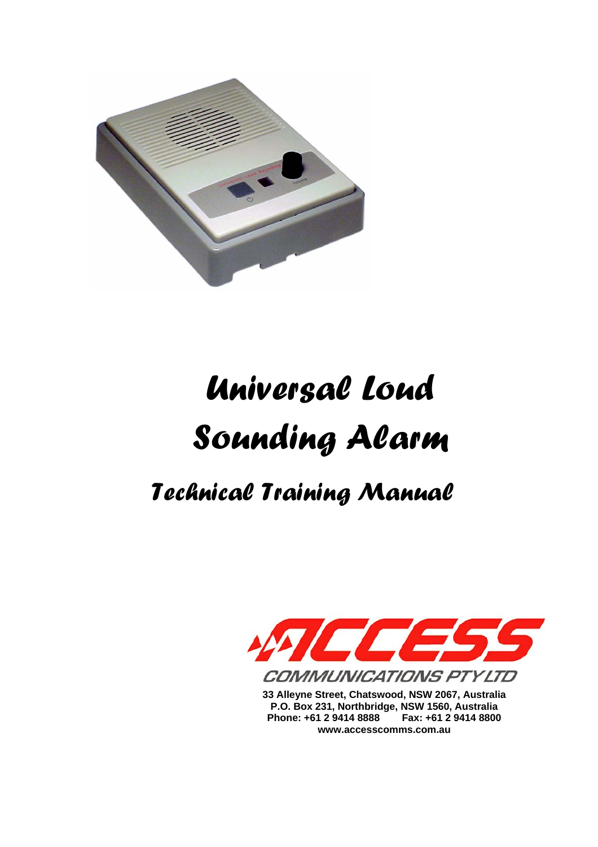

# *Universal Loud Sounding Alarm*

# *Technical Training Manual*



**33 Alleyne Street, Chatswood, NSW 2067, Australia P.O. Box 231, Northbridge, NSW 1560, Australia Phone: +61 2 9414 8888 Fax: +61 2 9414 8800 www.accesscomms.com.au**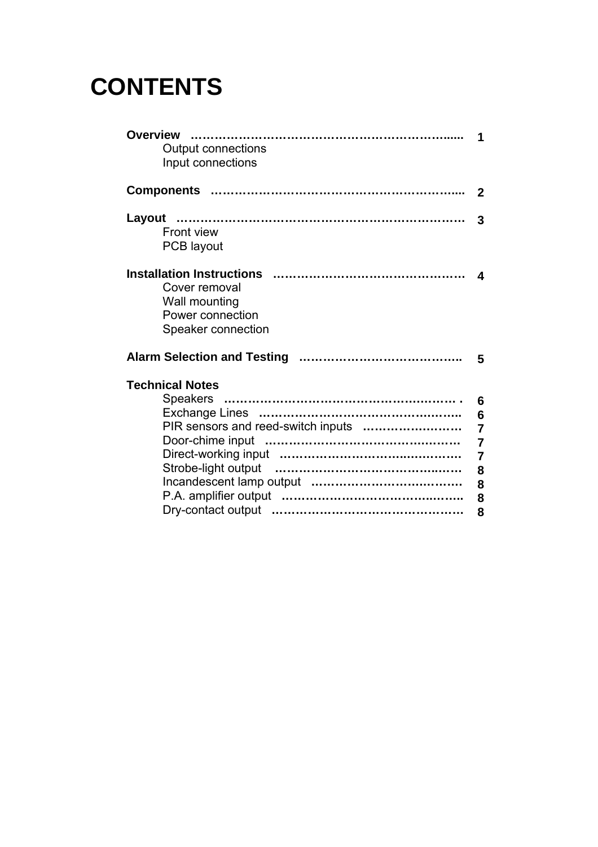# **CONTENTS**

| $\mathbf 2$<br>3                       |
|----------------------------------------|
|                                        |
|                                        |
| $\boldsymbol{\Lambda}$                 |
| - 5                                    |
| 6<br>$6\phantom{1}6$<br>$\overline{7}$ |
|                                        |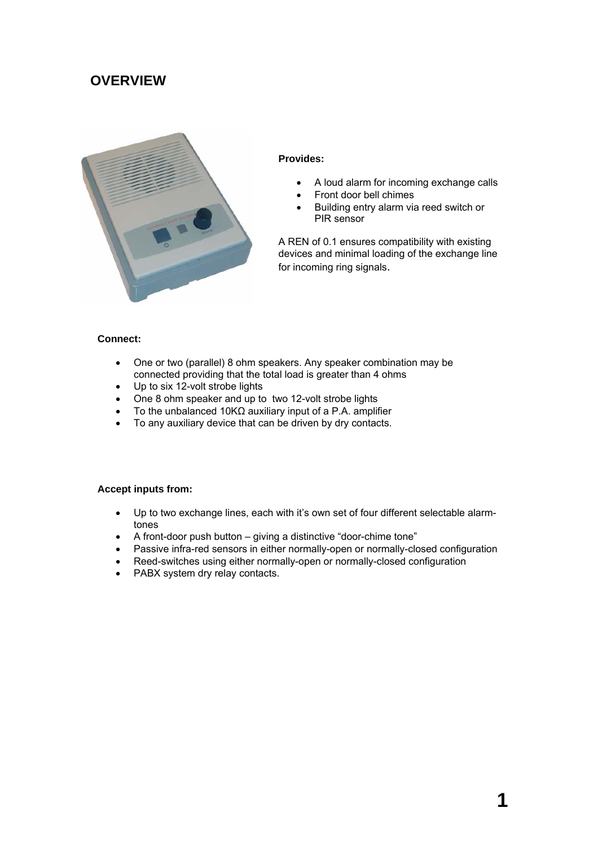## **OVERVIEW**



#### **Provides:**

- A loud alarm for incoming exchange calls
- Front door bell chimes
- Building entry alarm via reed switch or PIR sensor

A REN of 0.1 ensures compatibility with existing devices and minimal loading of the exchange line for incoming ring signals.

#### **Connect:**

- One or two (parallel) 8 ohm speakers. Any speaker combination may be connected providing that the total load is greater than 4 ohms
- Up to six 12-volt strobe lights
- One 8 ohm speaker and up to two 12-volt strobe lights
- To the unbalanced 10KΩ auxiliary input of a P.A. amplifier
- To any auxiliary device that can be driven by dry contacts.

#### **Accept inputs from:**

- Up to two exchange lines, each with it's own set of four different selectable alarmtones
- A front-door push button giving a distinctive "door-chime tone"
- Passive infra-red sensors in either normally-open or normally-closed configuration
- Reed-switches using either normally-open or normally-closed configuration
- PABX system dry relay contacts.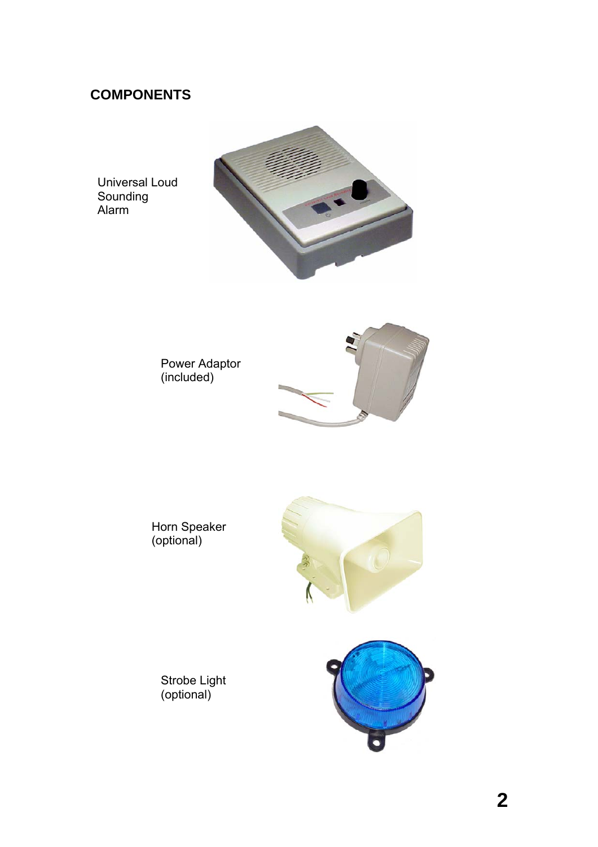# **COMPONENTS**

Universal Loud Sounding Alarm





Horn Speaker (optional)



Strobe Light (optional)

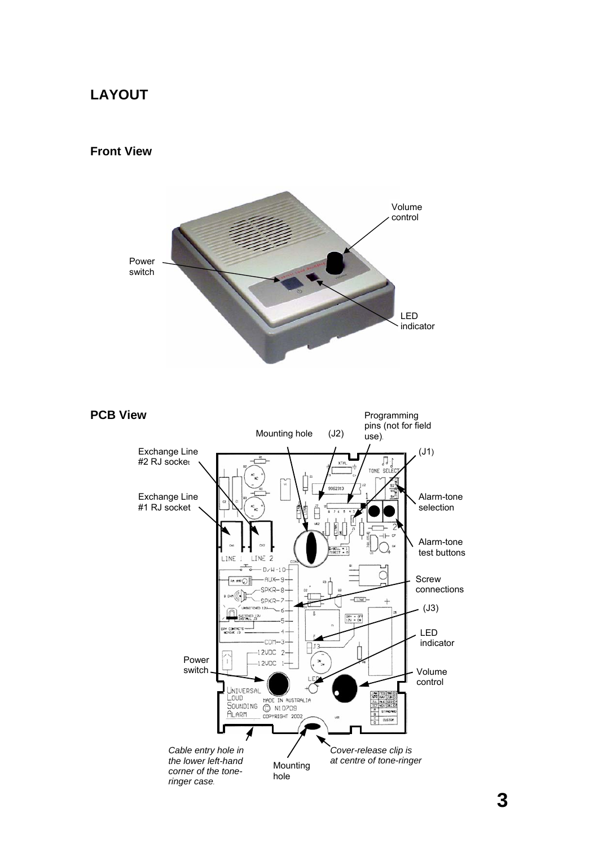## **LAYOUT**

#### **Front View**



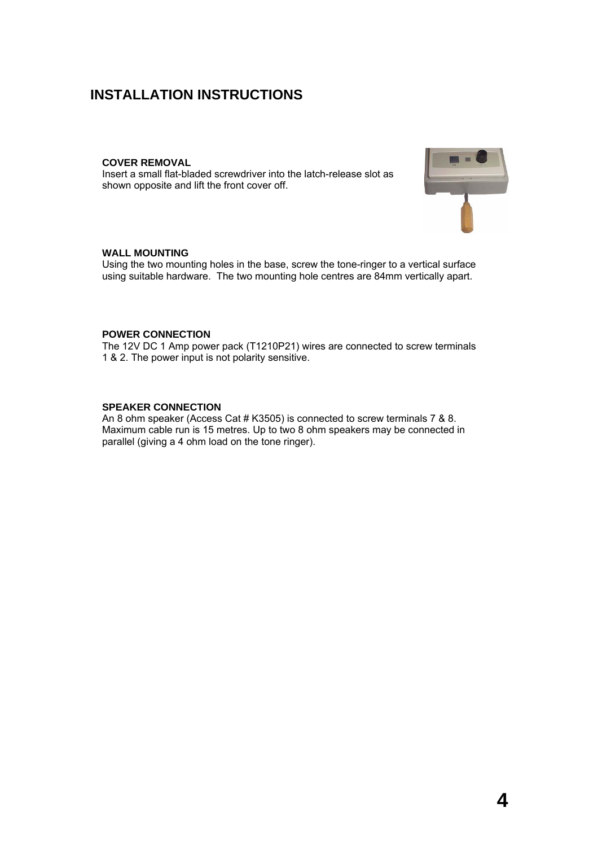### **INSTALLATION INSTRUCTIONS**

#### **COVER REMOVAL**

Insert a small flat-bladed screwdriver into the latch-release slot as shown opposite and lift the front cover off.



#### **WALL MOUNTING**

Using the two mounting holes in the base, screw the tone-ringer to a vertical surface using suitable hardware. The two mounting hole centres are 84mm vertically apart.

#### **POWER CONNECTION**

The 12V DC 1 Amp power pack (T1210P21) wires are connected to screw terminals 1 & 2. The power input is not polarity sensitive.

#### **SPEAKER CONNECTION**

An 8 ohm speaker (Access Cat # K3505) is connected to screw terminals 7 & 8. Maximum cable run is 15 metres. Up to two 8 ohm speakers may be connected in parallel (giving a 4 ohm load on the tone ringer).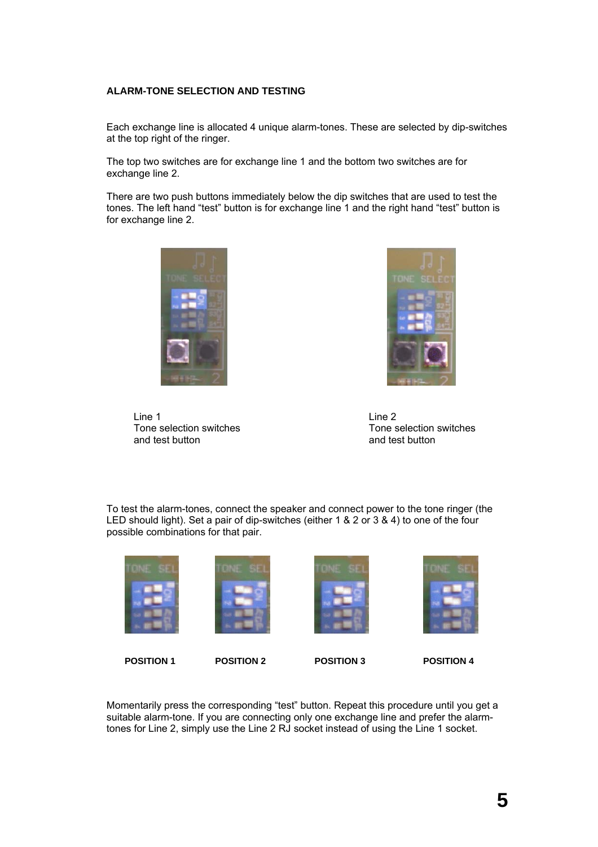#### **ALARM-TONE SELECTION AND TESTING**

Each exchange line is allocated 4 unique alarm-tones. These are selected by dip-switches at the top right of the ringer.

The top two switches are for exchange line 1 and the bottom two switches are for exchange line 2.

There are two push buttons immediately below the dip switches that are used to test the tones. The left hand "test" button is for exchange line 1 and the right hand "test" button is for exchange line 2.





Line 1 Tone selection switches and test button

Line 2 Tone selection switches and test button

To test the alarm-tones, connect the speaker and connect power to the tone ringer (the LED should light). Set a pair of dip-switches (either 1 & 2 or 3 & 4) to one of the four possible combinations for that pair.



Momentarily press the corresponding "test" button. Repeat this procedure until you get a suitable alarm-tone. If you are connecting only one exchange line and prefer the alarmtones for Line 2, simply use the Line 2 RJ socket instead of using the Line 1 socket.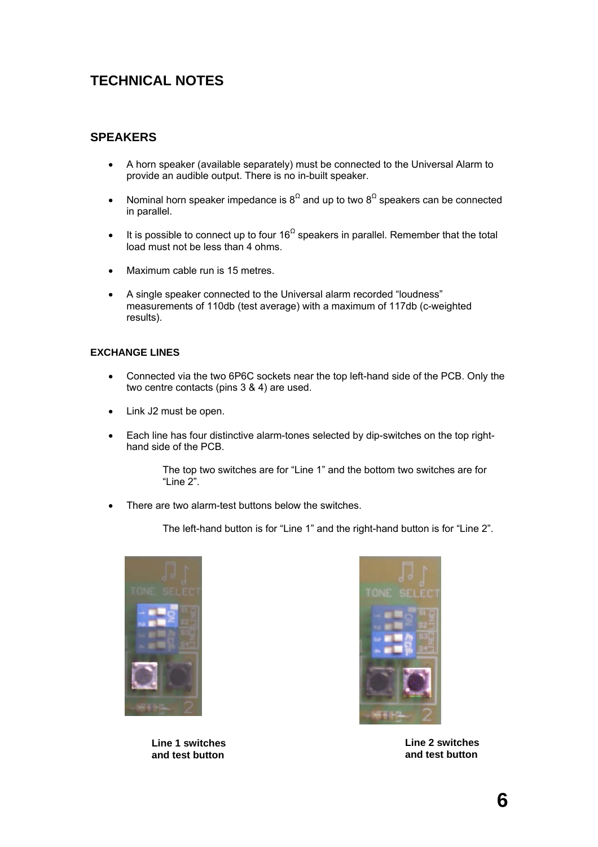# **TECHNICAL NOTES**

#### **SPEAKERS**

- A horn speaker (available separately) must be connected to the Universal Alarm to provide an audible output. There is no in-built speaker.
- Nominal horn speaker impedance is  $8^{\Omega}$  and up to two  $8^{\Omega}$  speakers can be connected in parallel.
- It is possible to connect up to four 16<sup> $\Omega$ </sup> speakers in parallel. Remember that the total load must not be less than 4 ohms.
- Maximum cable run is 15 metres.
- A single speaker connected to the Universal alarm recorded "loudness" measurements of 110db (test average) with a maximum of 117db (c-weighted results).

#### **EXCHANGE LINES**

- Connected via the two 6P6C sockets near the top left-hand side of the PCB. Only the two centre contacts (pins 3 & 4) are used.
- Link J2 must be open.
- Each line has four distinctive alarm-tones selected by dip-switches on the top righthand side of the PCB.

The top two switches are for "Line 1" and the bottom two switches are for "Line  $2$ ".

• There are two alarm-test buttons below the switches.

The left-hand button is for "Line 1" and the right-hand button is for "Line 2".



**Line 1 switches and test button** 



**Line 2 switches and test button**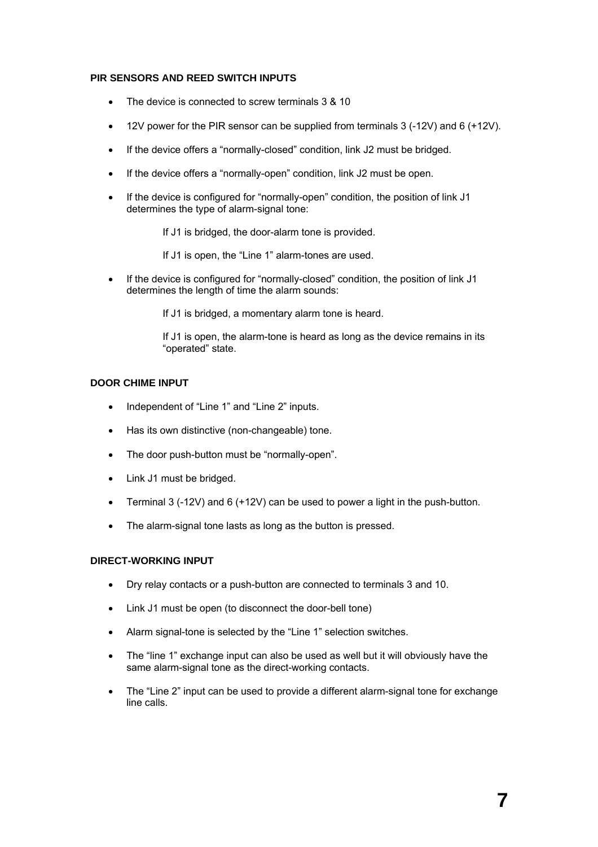#### **PIR SENSORS AND REED SWITCH INPUTS**

- The device is connected to screw terminals 3 & 10
- 12V power for the PIR sensor can be supplied from terminals 3 (-12V) and 6 (+12V).
- If the device offers a "normally-closed" condition, link J2 must be bridged.
- If the device offers a "normally-open" condition, link J2 must be open.
- If the device is configured for "normally-open" condition, the position of link J1 determines the type of alarm-signal tone:

If J1 is bridged, the door-alarm tone is provided.

If J1 is open, the "Line 1" alarm-tones are used.

• If the device is configured for "normally-closed" condition, the position of link J1 determines the length of time the alarm sounds:

If J1 is bridged, a momentary alarm tone is heard.

If J1 is open, the alarm-tone is heard as long as the device remains in its "operated" state.

#### **DOOR CHIME INPUT**

- Independent of "Line 1" and "Line 2" inputs.
- Has its own distinctive (non-changeable) tone.
- The door push-button must be "normally-open".
- Link J1 must be bridged.
- Terminal 3 (-12V) and 6 (+12V) can be used to power a light in the push-button.
- The alarm-signal tone lasts as long as the button is pressed.

#### **DIRECT-WORKING INPUT**

- Dry relay contacts or a push-button are connected to terminals 3 and 10.
- Link J1 must be open (to disconnect the door-bell tone)
- Alarm signal-tone is selected by the "Line 1" selection switches.
- The "line 1" exchange input can also be used as well but it will obviously have the same alarm-signal tone as the direct-working contacts.
- The "Line 2" input can be used to provide a different alarm-signal tone for exchange line calls.